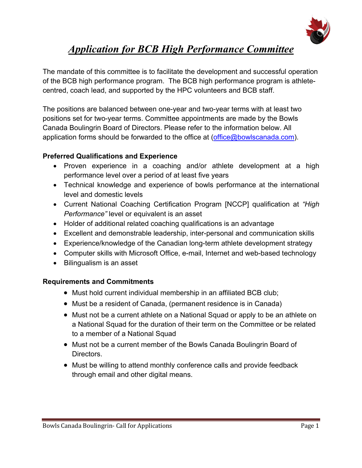

# *Application for BCB High Performance Committee*

The mandate of this committee is to facilitate the development and successful operation of the BCB high performance program. The BCB high performance program is athletecentred, coach lead, and supported by the HPC volunteers and BCB staff.

The positions are balanced between one-year and two-year terms with at least two positions set for two-year terms. Committee appointments are made by the Bowls Canada Boulingrin Board of Directors. Please refer to the information below. All application forms should be forwarded to the office at  $(office@bowlscanada.com)$ .

#### **Preferred Qualifications and Experience**

- Proven experience in a coaching and/or athlete development at a high performance level over a period of at least five years
- Technical knowledge and experience of bowls performance at the international level and domestic levels
- Current National Coaching Certification Program [NCCP] qualification at *"High Performance"* level or equivalent is an asset
- Holder of additional related coaching qualifications is an advantage
- Excellent and demonstrable leadership, inter-personal and communication skills
- Experience/knowledge of the Canadian long-term athlete development strategy
- Computer skills with Microsoft Office, e-mail, Internet and web-based technology
- Bilingualism is an asset

#### **Requirements and Commitments**

- Must hold current individual membership in an affiliated BCB club;
- Must be a resident of Canada, (permanent residence is in Canada)
- Must not be a current athlete on a National Squad or apply to be an athlete on a National Squad for the duration of their term on the Committee or be related to a member of a National Squad
- Must not be a current member of the Bowls Canada Boulingrin Board of Directors.
- Must be willing to attend monthly conference calls and provide feedback through email and other digital means.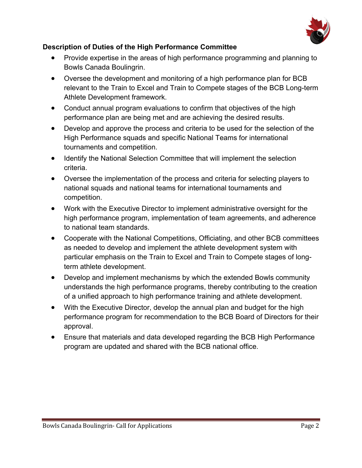

### **Description of Duties of the High Performance Committee**

- Provide expertise in the areas of high performance programming and planning to Bowls Canada Boulingrin.
- Oversee the development and monitoring of a high performance plan for BCB relevant to the Train to Excel and Train to Compete stages of the BCB Long-term Athlete Development framework.
- Conduct annual program evaluations to confirm that objectives of the high performance plan are being met and are achieving the desired results.
- Develop and approve the process and criteria to be used for the selection of the High Performance squads and specific National Teams for international tournaments and competition.
- Identify the National Selection Committee that will implement the selection criteria.
- Oversee the implementation of the process and criteria for selecting players to national squads and national teams for international tournaments and competition.
- Work with the Executive Director to implement administrative oversight for the high performance program, implementation of team agreements, and adherence to national team standards.
- Cooperate with the National Competitions, Officiating, and other BCB committees as needed to develop and implement the athlete development system with particular emphasis on the Train to Excel and Train to Compete stages of longterm athlete development.
- Develop and implement mechanisms by which the extended Bowls community understands the high performance programs, thereby contributing to the creation of a unified approach to high performance training and athlete development.
- With the Executive Director, develop the annual plan and budget for the high performance program for recommendation to the BCB Board of Directors for their approval.
- Ensure that materials and data developed regarding the BCB High Performance program are updated and shared with the BCB national office.